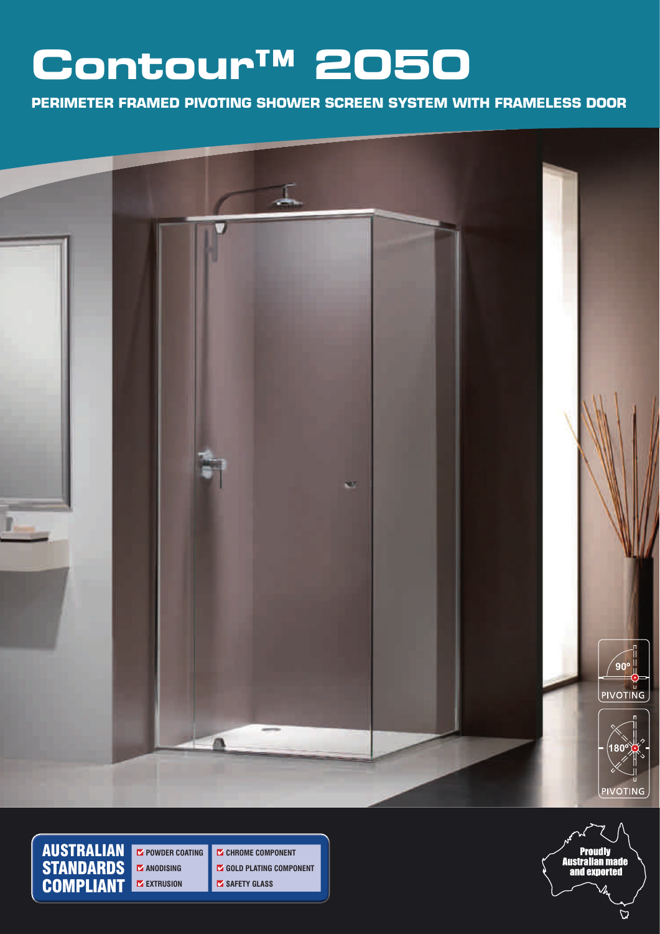## **Contour™ 2050**

**Perimeter framed Pivoting shower screen system with frameless door**



AUSTRALIAN STANDARDS **COMPLIANT** 

*M* POWDER COATING *M* ANODISING **EXTRUSION** 

*C* CHROME COMPONENT *GOLD PLATING COMPONENT M* SAFETY GLASS